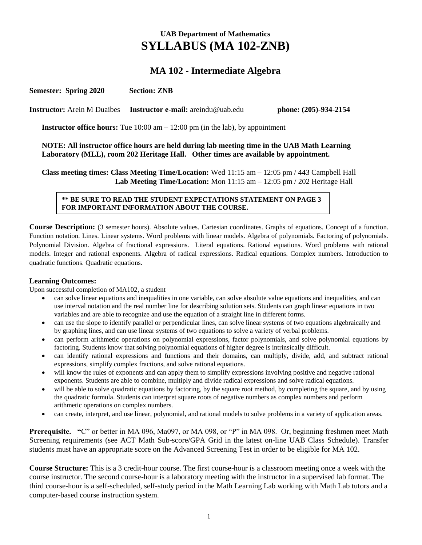# **UAB Department of Mathematics SYLLABUS (MA 102-ZNB)**

## **MA 102 - Intermediate Algebra**

**Semester: Spring 2020 Section: ZNB** 

**Instructor:** Arein M Duaibes **Instructor e-mail:** areindu@uab.edu **phone: (205)-934-2154**

**Instructor office hours:** Tue 10:00 am – 12:00 pm (in the lab), by appointment

**NOTE: All instructor office hours are held during lab meeting time in the UAB Math Learning Laboratory (MLL), room 202 Heritage Hall. Other times are available by appointment.**

**Class meeting times: Class Meeting Time/Location:** Wed 11:15 am – 12:05 pm / 443 Campbell Hall  **Lab Meeting Time/Location:** Mon 11:15 am – 12:05 pm / 202 Heritage Hall

#### **\*\* BE SURE TO READ THE STUDENT EXPECTATIONS STATEMENT ON PAGE 3 FOR IMPORTANT INFORMATION ABOUT THE COURSE.**

**Course Description:** (3 semester hours). Absolute values. Cartesian coordinates. Graphs of equations. Concept of a function. Function notation. Lines. Linear systems. Word problems with linear models. Algebra of polynomials. Factoring of polynomials. Polynomial Division. Algebra of fractional expressions. Literal equations. Rational equations. Word problems with rational models. Integer and rational exponents. Algebra of radical expressions. Radical equations. Complex numbers. Introduction to quadratic functions. Quadratic equations.

#### **Learning Outcomes:**

Upon successful completion of MA102, a student

- can solve linear equations and inequalities in one variable, can solve absolute value equations and inequalities, and can use interval notation and the real number line for describing solution sets. Students can graph linear equations in two variables and are able to recognize and use the equation of a straight line in different forms.
- can use the slope to identify parallel or perpendicular lines, can solve linear systems of two equations algebraically and by graphing lines, and can use linear systems of two equations to solve a variety of verbal problems.
- can perform arithmetic operations on polynomial expressions, factor polynomials, and solve polynomial equations by factoring. Students know that solving polynomial equations of higher degree is intrinsically difficult.
- can identify rational expressions and functions and their domains, can multiply, divide, add, and subtract rational expressions, simplify complex fractions, and solve rational equations.
- will know the rules of exponents and can apply them to simplify expressions involving positive and negative rational exponents. Students are able to combine, multiply and divide radical expressions and solve radical equations.
- will be able to solve quadratic equations by factoring, by the square root method, by completing the square, and by using the quadratic formula. Students can interpret square roots of negative numbers as complex numbers and perform arithmetic operations on complex numbers.
- can create, interpret, and use linear, polynomial, and rational models to solve problems in a variety of application areas.

**Prerequisite. "**C" or better in MA 096, Ma097, or MA 098, or "P" in MA 098. Or, beginning freshmen meet Math Screening requirements (see ACT Math Sub-score/GPA Grid in the latest on-line UAB Class Schedule). Transfer students must have an appropriate score on the Advanced Screening Test in order to be eligible for MA 102.

**Course Structure:** This is a 3 credit-hour course. The first course-hour is a classroom meeting once a week with the course instructor. The second course-hour is a laboratory meeting with the instructor in a supervised lab format. The third course-hour is a self-scheduled, self-study period in the Math Learning Lab working with Math Lab tutors and a computer-based course instruction system.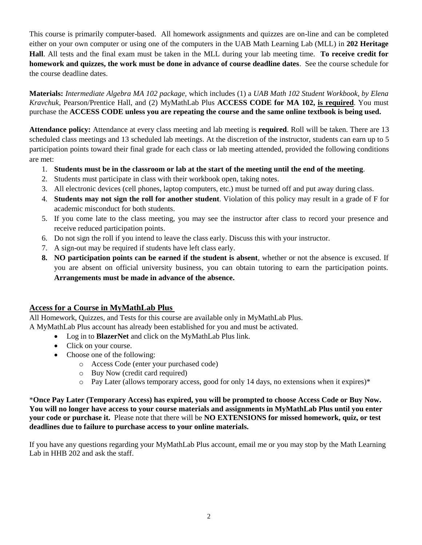This course is primarily computer-based. All homework assignments and quizzes are on-line and can be completed either on your own computer or using one of the computers in the UAB Math Learning Lab (MLL) in **202 Heritage Hall**. All tests and the final exam must be taken in the MLL during your lab meeting time. **To receive credit for homework and quizzes, the work must be done in advance of course deadline dates**. See the course schedule for the course deadline dates.

**Materials:** *Intermediate Algebra MA 102 package,* which includes (1) a *UAB Math 102 Student Workbook, by Elena Kravchuk*, Pearson/Prentice Hall, and (2) MyMathLab Plus **ACCESS CODE for MA 102, is required**. You must purchase the **ACCESS CODE unless you are repeating the course and the same online textbook is being used.**

**Attendance policy:** Attendance at every class meeting and lab meeting is **required**. Roll will be taken. There are 13 scheduled class meetings and 13 scheduled lab meetings. At the discretion of the instructor, students can earn up to 5 participation points toward their final grade for each class or lab meeting attended, provided the following conditions are met:

- 1. **Students must be in the classroom or lab at the start of the meeting until the end of the meeting**.
- 2. Students must participate in class with their workbook open, taking notes.
- 3. All electronic devices (cell phones, laptop computers, etc.) must be turned off and put away during class.
- 4. **Students may not sign the roll for another student**. Violation of this policy may result in a grade of F for academic misconduct for both students.
- 5. If you come late to the class meeting, you may see the instructor after class to record your presence and receive reduced participation points.
- 6. Do not sign the roll if you intend to leave the class early. Discuss this with your instructor.
- 7. A sign-out may be required if students have left class early.
- **8. NO participation points can be earned if the student is absent**, whether or not the absence is excused. If you are absent on official university business, you can obtain tutoring to earn the participation points. **Arrangements must be made in advance of the absence.**

### **Access for a Course in MyMathLab Plus**

All Homework, Quizzes, and Tests for this course are available only in MyMathLab Plus. A MyMathLab Plus account has already been established for you and must be activated.

- Log in to **BlazerNet** and click on the MyMathLab Plus link.
- Click on your course.
- Choose one of the following:
	- o Access Code (enter your purchased code)
	- o Buy Now (credit card required)
	- o Pay Later (allows temporary access, good for only 14 days, no extensions when it expires)\*

\***Once Pay Later (Temporary Access) has expired, you will be prompted to choose Access Code or Buy Now. You will no longer have access to your course materials and assignments in MyMathLab Plus until you enter your code or purchase it.** Please note that there will be **NO EXTENSIONS for missed homework, quiz, or test deadlines due to failure to purchase access to your online materials.**

If you have any questions regarding your MyMathLab Plus account, email me or you may stop by the Math Learning Lab in HHB 202 and ask the staff.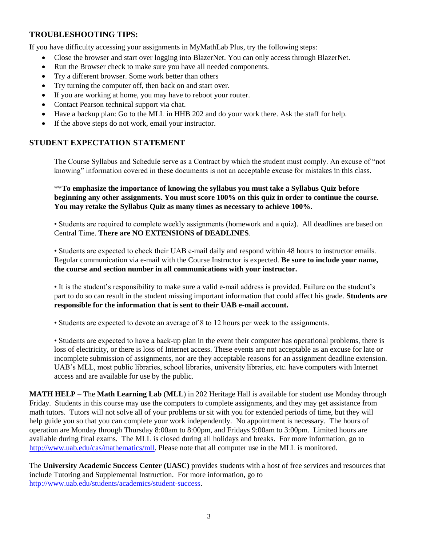### **TROUBLESHOOTING TIPS:**

If you have difficulty accessing your assignments in MyMathLab Plus, try the following steps:

- Close the browser and start over logging into BlazerNet. You can only access through BlazerNet.
- Run the Browser check to make sure you have all needed components.
- Try a different browser. Some work better than others
- Try turning the computer off, then back on and start over.
- If you are working at home, you may have to reboot your router.
- Contact Pearson technical support via chat.
- Have a backup plan: Go to the MLL in HHB 202 and do your work there. Ask the staff for help.
- If the above steps do not work, email your instructor.

#### **STUDENT EXPECTATION STATEMENT**

The Course Syllabus and Schedule serve as a Contract by which the student must comply. An excuse of "not knowing" information covered in these documents is not an acceptable excuse for mistakes in this class.

\*\***To emphasize the importance of knowing the syllabus you must take a Syllabus Quiz before beginning any other assignments. You must score 100% on this quiz in order to continue the course. You may retake the Syllabus Quiz as many times as necessary to achieve 100%.**

• Students are required to complete weekly assignments (homework and a quiz). All deadlines are based on Central Time. **There are NO EXTENSIONS of DEADLINES**.

• Students are expected to check their UAB e-mail daily and respond within 48 hours to instructor emails. Regular communication via e-mail with the Course Instructor is expected. **Be sure to include your name, the course and section number in all communications with your instructor.**

• It is the student's responsibility to make sure a valid e-mail address is provided. Failure on the student's part to do so can result in the student missing important information that could affect his grade. **Students are responsible for the information that is sent to their UAB e-mail account.** 

• Students are expected to devote an average of 8 to 12 hours per week to the assignments.

• Students are expected to have a back-up plan in the event their computer has operational problems, there is loss of electricity, or there is loss of Internet access. These events are not acceptable as an excuse for late or incomplete submission of assignments, nor are they acceptable reasons for an assignment deadline extension. UAB's MLL, most public libraries, school libraries, university libraries, etc. have computers with Internet access and are available for use by the public.

**MATH HELP –** The **Math Learning Lab** (**MLL**) in 202 Heritage Hall is available for student use Monday through Friday. Students in this course may use the computers to complete assignments, and they may get assistance from math tutors. Tutors will not solve all of your problems or sit with you for extended periods of time, but they will help guide you so that you can complete your work independently. No appointment is necessary. The hours of operation are Monday through Thursday 8:00am to 8:00pm, and Fridays 9:00am to 3:00pm. Limited hours are available during final exams. The MLL is closed during all holidays and breaks. For more information, go to [http://www.uab.edu/cas/mathematics/mll.](http://www.uab.edu/cas/mathematics/mll) Please note that all computer use in the MLL is monitored.

The **University Academic Success Center (UASC)** provides students with a host of free services and resources that include Tutoring and Supplemental Instruction. For more information, go to [http://www.uab.edu/students/academics/student-success.](http://www.uab.edu/students/academics/student-success)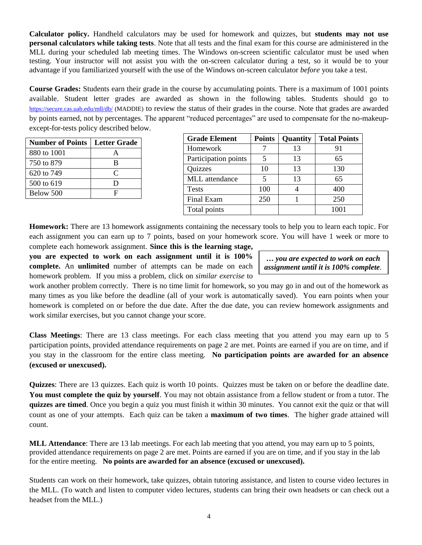**Calculator policy.** Handheld calculators may be used for homework and quizzes, but **students may not use personal calculators while taking tests**. Note that all tests and the final exam for this course are administered in the MLL during your scheduled lab meeting times. The Windows on-screen scientific calculator must be used when testing. Your instructor will not assist you with the on-screen calculator during a test, so it would be to your advantage if you familiarized yourself with the use of the Windows on-screen calculator *before* you take a test.

**Course Grades:** Students earn their grade in the course by accumulating points. There is a maximum of 1001 points available. Student letter grades are awarded as shown in the following tables. Students should go to <https://secure.cas.uab.edu/mll/db/> (MADDIE) to review the status of their grades in the course. Note that grades are awarded by points earned, not by percentages. The apparent "reduced percentages" are used to compensate for the no-makeupexcept-for-tests policy described below.

| <b>Number of Points</b> | Letter Grade |
|-------------------------|--------------|
| 880 to 1001             |              |
| 750 to 879              | R            |
| 620 to 749              | C            |
| 500 to 619              | I)           |
| Below 500               | F            |

| <b>Grade Element</b> | <b>Points</b> | <b>Quantity</b> | <b>Total Points</b> |
|----------------------|---------------|-----------------|---------------------|
| Homework             |               | 13              | 91                  |
| Participation points |               | 13              | 65                  |
| Quizzes              | 10            | 13              | 130                 |
| MLL attendance       | 5             | 13              | 65                  |
| <b>Tests</b>         | 100           |                 | 400                 |
| Final Exam           | 250           |                 | 250                 |
| Total points         |               |                 | 1001                |

**Homework:** There are 13 homework assignments containing the necessary tools to help you to learn each topic. For each assignment you can earn up to 7 points, based on your homework score. You will have 1 week or more to complete each homework assignment. **Since this is the learning stage,** 

**you are expected to work on each assignment until it is 100% complete.** An **unlimited** number of attempts can be made on each homework problem. If you miss a problem, click on *similar exercise* to

**…** *you are expected to work on each assignment until it is 100% complete.*

work another problem correctly. There is no time limit for homework, so you may go in and out of the homework as many times as you like before the deadline (all of your work is automatically saved). You earn points when your homework is completed on or before the due date. After the due date, you can review homework assignments and work similar exercises, but you cannot change your score.

**Class Meetings**: There are 13 class meetings. For each class meeting that you attend you may earn up to 5 participation points, provided attendance requirements on page 2 are met. Points are earned if you are on time, and if you stay in the classroom for the entire class meeting. **No participation points are awarded for an absence (excused or unexcused).** 

**Quizzes**: There are 13 quizzes. Each quiz is worth 10 points. Quizzes must be taken on or before the deadline date. **You must complete the quiz by yourself**. You may not obtain assistance from a fellow student or from a tutor. The **quizzes are timed**. Once you begin a quiz you must finish it within 30 minutes. You cannot exit the quiz or that will count as one of your attempts. Each quiz can be taken a **maximum of two times**. The higher grade attained will count.

**MLL Attendance**: There are 13 lab meetings. For each lab meeting that you attend, you may earn up to 5 points, provided attendance requirements on page 2 are met. Points are earned if you are on time, and if you stay in the lab for the entire meeting. **No points are awarded for an absence (excused or unexcused).**

Students can work on their homework, take quizzes, obtain tutoring assistance, and listen to course video lectures in the MLL. (To watch and listen to computer video lectures, students can bring their own headsets or can check out a headset from the MLL.)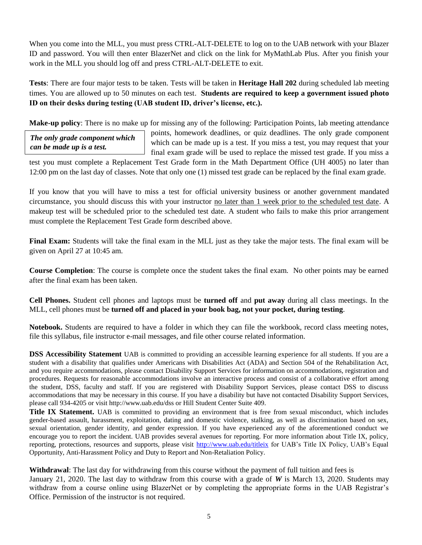When you come into the MLL, you must press CTRL-ALT-DELETE to log on to the UAB network with your Blazer ID and password. You will then enter BlazerNet and click on the link for MyMathLab Plus. After you finish your work in the MLL you should log off and press CTRL-ALT-DELETE to exit.

**Tests**: There are four major tests to be taken. Tests will be taken in **Heritage Hall 202** during scheduled lab meeting times. You are allowed up to 50 minutes on each test. **Students are required to keep a government issued photo ID on their desks during testing (UAB student ID, driver's license, etc.).**

**Make-up policy**: There is no make up for missing any of the following: Participation Points, lab meeting attendance

*The only grade component which can be made up is a test.*

points, homework deadlines, or quiz deadlines. The only grade component which can be made up is a test. If you miss a test, you may request that your final exam grade will be used to replace the missed test grade. If you miss a

test you must complete a Replacement Test Grade form in the Math Department Office (UH 4005) no later than 12:00 pm on the last day of classes. Note that only one (1) missed test grade can be replaced by the final exam grade.

If you know that you will have to miss a test for official university business or another government mandated circumstance, you should discuss this with your instructor no later than 1 week prior to the scheduled test date. A makeup test will be scheduled prior to the scheduled test date. A student who fails to make this prior arrangement must complete the Replacement Test Grade form described above.

**Final Exam:** Students will take the final exam in the MLL just as they take the major tests. The final exam will be given on April 27 at 10:45 am.

**Course Completion**: The course is complete once the student takes the final exam. No other points may be earned after the final exam has been taken.

**Cell Phones.** Student cell phones and laptops must be **turned off** and **put away** during all class meetings. In the MLL, cell phones must be **turned off and placed in your book bag, not your pocket, during testing**.

**Notebook.** Students are required to have a folder in which they can file the workbook, record class meeting notes, file this syllabus, file instructor e-mail messages, and file other course related information.

**DSS Accessibility Statement** UAB is committed to providing an accessible learning experience for all students. If you are a student with a disability that qualifies under Americans with Disabilities Act (ADA) and Section 504 of the Rehabilitation Act, and you require accommodations, please contact Disability Support Services for information on accommodations, registration and procedures. Requests for reasonable accommodations involve an interactive process and consist of a collaborative effort among the student, DSS, faculty and staff. If you are registered with Disability Support Services, please contact DSS to discuss accommodations that may be necessary in this course. If you have a disability but have not contacted Disability Support Services, please call 934-4205 or visit http://www.uab.edu/dss or Hill Student Center Suite 409.

**Title IX Statement.** UAB is committed to providing an environment that is free from sexual misconduct, which includes gender-based assault, harassment, exploitation, dating and domestic violence, stalking, as well as discrimination based on sex, sexual orientation, gender identity, and gender expression. If you have experienced any of the aforementioned conduct we encourage you to report the incident. UAB provides several avenues for reporting. For more information about Title IX, policy, reporting, protections, resources and supports, please visit<http://www.uab.edu/titleix> for UAB's Title IX Policy, UAB's Equal Opportunity, Anti-Harassment Policy and Duty to Report and Non-Retaliation Policy.

**Withdrawal**: The last day for withdrawing from this course without the payment of full tuition and fees is January 21, 2020. The last day to withdraw from this course with a grade of *W* is March 13, 2020. Students may withdraw from a course online using BlazerNet or by completing the appropriate forms in the UAB Registrar's Office. Permission of the instructor is not required.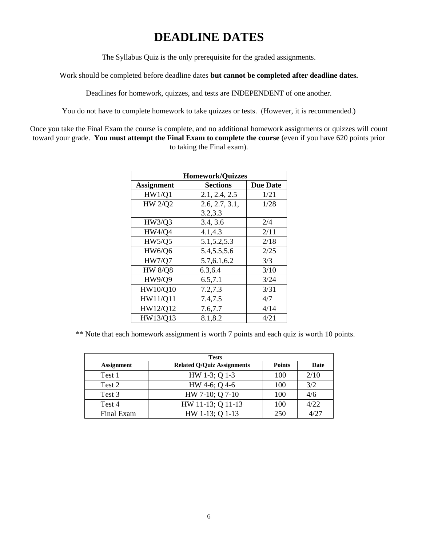# **DEADLINE DATES**

The Syllabus Quiz is the only prerequisite for the graded assignments.

Work should be completed before deadline dates **but cannot be completed after deadline dates.**

Deadlines for homework, quizzes, and tests are INDEPENDENT of one another.

You do not have to complete homework to take quizzes or tests. (However, it is recommended.)

Once you take the Final Exam the course is complete, and no additional homework assignments or quizzes will count toward your grade. **You must attempt the Final Exam to complete the course** (even if you have 620 points prior to taking the Final exam).

| <b>Homework/Quizzes</b> |                 |                 |  |  |
|-------------------------|-----------------|-----------------|--|--|
| <b>Assignment</b>       | <b>Sections</b> | <b>Due Date</b> |  |  |
| HW1/Q1                  | 2.1, 2.4, 2.5   | 1/21            |  |  |
| <b>HW 2/Q2</b>          | 2.6, 2.7, 3.1,  | 1/28            |  |  |
|                         | 3.2,3.3         |                 |  |  |
| HW3/Q3                  | 3.4, 3.6        | 2/4             |  |  |
| <b>HW4/Q4</b>           | 4.1,4.3         | 2/11            |  |  |
| <b>HW5/Q5</b>           | 5.1, 5.2, 5.3   | 2/18            |  |  |
| <b>HW6/Q6</b>           | 5.4, 5.5, 5.6   | 2/25            |  |  |
| <b>HW7/Q7</b>           | 5.7, 6.1, 6.2   | 3/3             |  |  |
| <b>HW 8/Q8</b>          | 6.3,6.4         | 3/10            |  |  |
| <b>HW9/Q9</b>           | 6.5, 7.1        | 3/24            |  |  |
| HW10/Q10                | 7.2,7.3         | 3/31            |  |  |
| HW11/Q11                | 7.4,7.5         | 4/7             |  |  |
| HW12/Q12                | 7.6,7.7         | 4/14            |  |  |
| HW13/Q13                | 8.1,8.2         | 4/21            |  |  |

\*\* Note that each homework assignment is worth 7 points and each quiz is worth 10 points.

| <b>Tests</b>      |                                   |               |      |  |  |
|-------------------|-----------------------------------|---------------|------|--|--|
| <b>Assignment</b> | <b>Related Q/Quiz Assignments</b> | <b>Points</b> | Date |  |  |
| Test 1            | HW 1-3; Q 1-3                     | 100           | 2/10 |  |  |
| Test 2            | HW 4-6; Q 4-6                     | 100           | 3/2  |  |  |
| Test 3            | HW 7-10; Q 7-10                   | 100           | 4/6  |  |  |
| Test 4            | HW 11-13; Q 11-13                 | 100           | 4/22 |  |  |
| Final Exam        | HW 1-13; Q 1-13                   | 250           | 4/27 |  |  |